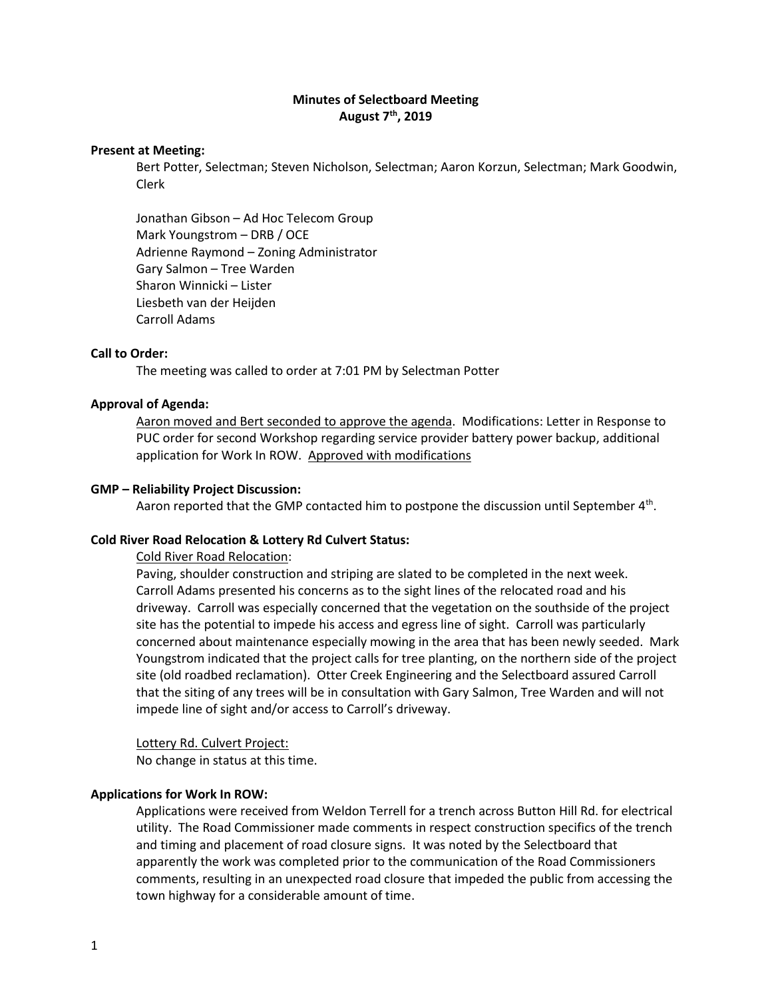# **Minutes of Selectboard Meeting August 7th, 2019**

#### **Present at Meeting:**

Bert Potter, Selectman; Steven Nicholson, Selectman; Aaron Korzun, Selectman; Mark Goodwin, Clerk

Jonathan Gibson – Ad Hoc Telecom Group Mark Youngstrom – DRB / OCE Adrienne Raymond – Zoning Administrator Gary Salmon – Tree Warden Sharon Winnicki – Lister Liesbeth van der Heijden Carroll Adams

# **Call to Order:**

The meeting was called to order at 7:01 PM by Selectman Potter

## **Approval of Agenda:**

Aaron moved and Bert seconded to approve the agenda. Modifications: Letter in Response to PUC order for second Workshop regarding service provider battery power backup, additional application for Work In ROW. Approved with modifications

#### **GMP – Reliability Project Discussion:**

Aaron reported that the GMP contacted him to postpone the discussion until September  $4<sup>th</sup>$ .

## **Cold River Road Relocation & Lottery Rd Culvert Status:**

Cold River Road Relocation:

Paving, shoulder construction and striping are slated to be completed in the next week. Carroll Adams presented his concerns as to the sight lines of the relocated road and his driveway. Carroll was especially concerned that the vegetation on the southside of the project site has the potential to impede his access and egress line of sight. Carroll was particularly concerned about maintenance especially mowing in the area that has been newly seeded. Mark Youngstrom indicated that the project calls for tree planting, on the northern side of the project site (old roadbed reclamation). Otter Creek Engineering and the Selectboard assured Carroll that the siting of any trees will be in consultation with Gary Salmon, Tree Warden and will not impede line of sight and/or access to Carroll's driveway.

Lottery Rd. Culvert Project:

No change in status at this time.

#### **Applications for Work In ROW:**

Applications were received from Weldon Terrell for a trench across Button Hill Rd. for electrical utility. The Road Commissioner made comments in respect construction specifics of the trench and timing and placement of road closure signs. It was noted by the Selectboard that apparently the work was completed prior to the communication of the Road Commissioners comments, resulting in an unexpected road closure that impeded the public from accessing the town highway for a considerable amount of time.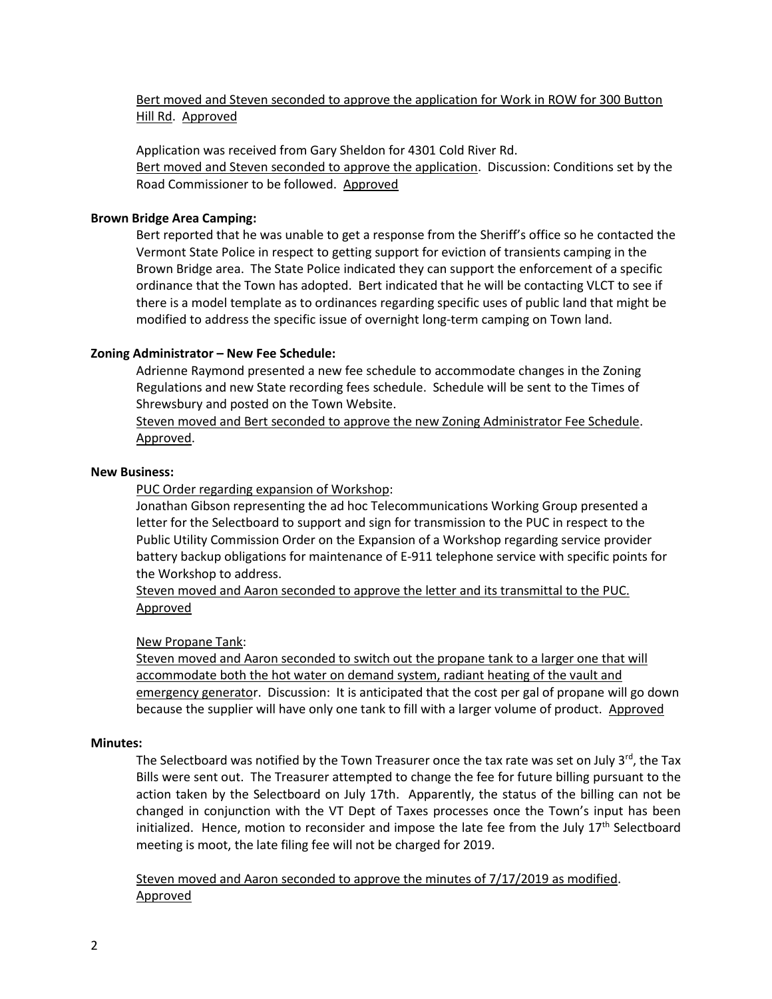Bert moved and Steven seconded to approve the application for Work in ROW for 300 Button Hill Rd. Approved

Application was received from Gary Sheldon for 4301 Cold River Rd. Bert moved and Steven seconded to approve the application. Discussion: Conditions set by the Road Commissioner to be followed. Approved

# **Brown Bridge Area Camping:**

Bert reported that he was unable to get a response from the Sheriff's office so he contacted the Vermont State Police in respect to getting support for eviction of transients camping in the Brown Bridge area. The State Police indicated they can support the enforcement of a specific ordinance that the Town has adopted. Bert indicated that he will be contacting VLCT to see if there is a model template as to ordinances regarding specific uses of public land that might be modified to address the specific issue of overnight long-term camping on Town land.

# **Zoning Administrator – New Fee Schedule:**

Adrienne Raymond presented a new fee schedule to accommodate changes in the Zoning Regulations and new State recording fees schedule. Schedule will be sent to the Times of Shrewsbury and posted on the Town Website.

Steven moved and Bert seconded to approve the new Zoning Administrator Fee Schedule. Approved.

## **New Business:**

PUC Order regarding expansion of Workshop:

Jonathan Gibson representing the ad hoc Telecommunications Working Group presented a letter for the Selectboard to support and sign for transmission to the PUC in respect to the Public Utility Commission Order on the Expansion of a Workshop regarding service provider battery backup obligations for maintenance of E-911 telephone service with specific points for the Workshop to address.

Steven moved and Aaron seconded to approve the letter and its transmittal to the PUC. Approved

## New Propane Tank:

Steven moved and Aaron seconded to switch out the propane tank to a larger one that will accommodate both the hot water on demand system, radiant heating of the vault and emergency generator. Discussion: It is anticipated that the cost per gal of propane will go down because the supplier will have only one tank to fill with a larger volume of product. Approved

## **Minutes:**

The Selectboard was notified by the Town Treasurer once the tax rate was set on July  $3^{rd}$ , the Tax Bills were sent out. The Treasurer attempted to change the fee for future billing pursuant to the action taken by the Selectboard on July 17th. Apparently, the status of the billing can not be changed in conjunction with the VT Dept of Taxes processes once the Town's input has been initialized. Hence, motion to reconsider and impose the late fee from the July  $17<sup>th</sup>$  Selectboard meeting is moot, the late filing fee will not be charged for 2019.

Steven moved and Aaron seconded to approve the minutes of 7/17/2019 as modified. Approved